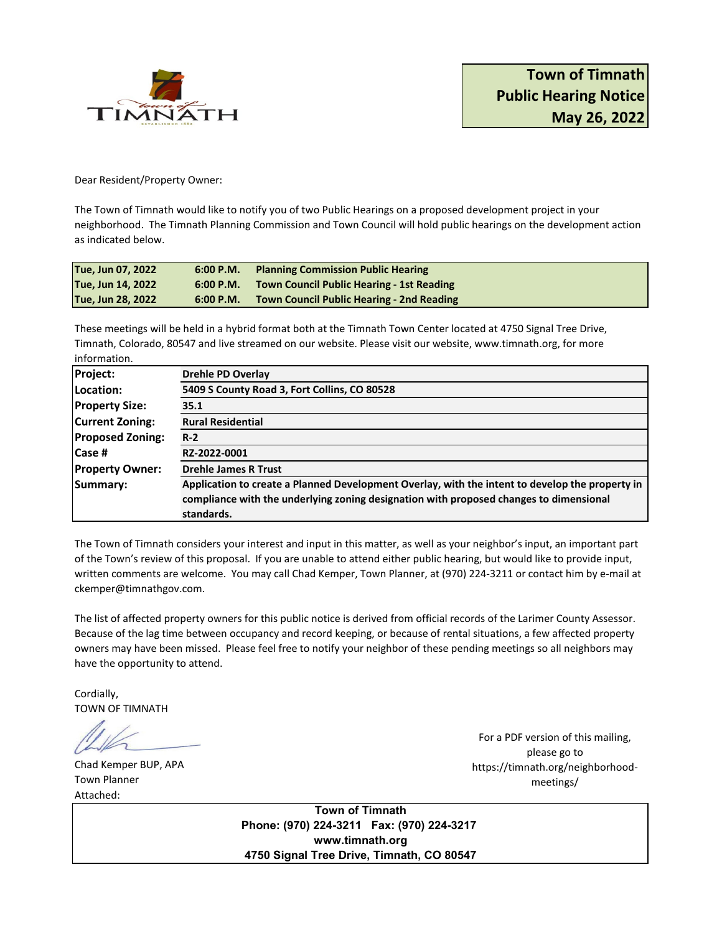

Dear Resident/Property Owner:

The Town of Timnath would like to notify you of two Public Hearings on a proposed development project in your neighborhood. The Timnath Planning Commission and Town Council will hold public hearings on the development action as indicated below.

| Tue, Jun 07, 2022 |           | 6:00 P.M. Planning Commission Public Hearing        |
|-------------------|-----------|-----------------------------------------------------|
| Tue, Jun 14, 2022 |           | 6:00 P.M. Town Council Public Hearing - 1st Reading |
| Tue, Jun 28, 2022 | 6:00 P.M. | <b>Town Council Public Hearing - 2nd Reading</b>    |

These meetings will be held in a hybrid format both at the Timnath Town Center located at 4750 Signal Tree Drive, Timnath, Colorado, 80547 and live streamed on our website. Please visit our website, www.timnath.org, for more information.

| <b>Project:</b>         | <b>Drehle PD Overlay</b>                                                                        |
|-------------------------|-------------------------------------------------------------------------------------------------|
| Location:               | 5409 S County Road 3, Fort Collins, CO 80528                                                    |
| <b>Property Size:</b>   | 35.1                                                                                            |
| <b>Current Zoning:</b>  | <b>Rural Residential</b>                                                                        |
| <b>Proposed Zoning:</b> | $R-2$                                                                                           |
| <b>Case #</b>           | RZ-2022-0001                                                                                    |
| <b>Property Owner:</b>  | <b>Drehle James R Trust</b>                                                                     |
| Summary:                | Application to create a Planned Development Overlay, with the intent to develop the property in |
|                         | compliance with the underlying zoning designation with proposed changes to dimensional          |
|                         | standards.                                                                                      |

The Town of Timnath considers your interest and input in this matter, as well as your neighbor's input, an important part of the Town's review of this proposal. If you are unable to attend either public hearing, but would like to provide input, written comments are welcome. You may call Chad Kemper, Town Planner, at (970) 224-3211 or contact him by e-mail at ckemper@timnathgov.com.

The list of affected property owners for this public notice is derived from official records of the Larimer County Assessor. Because of the lag time between occupancy and record keeping, or because of rental situations, a few affected property owners may have been missed. Please feel free to notify your neighbor of these pending meetings so all neighbors may have the opportunity to attend.

Cordially, TOWN OF TIMNATH

Chad Kemper BUP, APA Town Planner Attached:

For a PDF version of this mailing, please go to https://timnath.org/neighborhoodmeetings/

**Town of Timnath Phone: (970) 224-3211 Fax: (970) 224-3217 www.timnath.org 4750 Signal Tree Drive, Timnath, CO 80547**